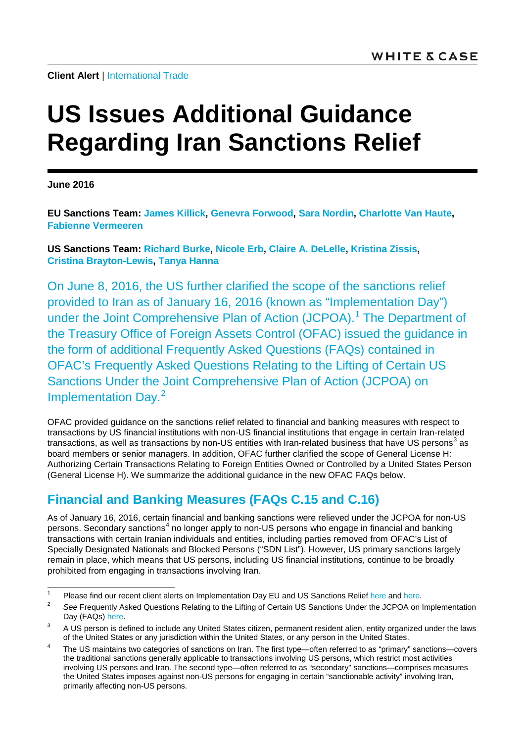# **US Issues Additional Guidance Regarding Iran Sanctions Relief**

**June 2016**

**[EU Sanctions Team:](mailto:EUsanctions@whitecase.com) [James Killick,](http://www.whitecase.com/people/james-killick) [Genevra Forwood,](http://www.whitecase.com/people/genevra-forwood) [Sara Nordin,](http://www.whitecase.com/people/sara-nordin) [Charlotte Van Haute,](http://www.whitecase.com/people/charlotte-van-haute) [Fabienne Vermeeren](http://www.whitecase.com/people/fabienne-vermeeren)**

**[US Sanctions Team:](mailto:USsanctions@whitecase.com) [Richard Burke,](http://www.whitecase.com/people/richard-burke) [Nicole Erb,](http://www.whitecase.com/people/nicole-erb) [Claire A. DeLelle,](http://www.whitecase.com/people/claire-delelle) [Kristina Zissis,](http://www.whitecase.com/people/kristina-zissis) [Cristina Brayton-Lewis,](http://www.whitecase.com/people/cristina-brayton-lewis) [Tanya Hanna](http://www.whitecase.com/people/tanya-hanna)**

On June 8, 2016, the US further clarified the scope of the sanctions relief provided to Iran as of January 16, 2016 (known as "Implementation Day") under the Joint Comprehensive Plan of Action (JCPOA).<sup>[1](#page-0-0)</sup> The Department of the Treasury Office of Foreign Assets Control (OFAC) issued the guidance in the form of additional Frequently Asked Questions (FAQs) contained in OFAC's Frequently Asked Questions Relating to the Lifting of Certain US Sanctions Under the Joint Comprehensive Plan of Action (JCPOA) on Implementation Day.<sup>[2](#page-0-1)</sup>

OFAC provided guidance on the sanctions relief related to financial and banking measures with respect to transactions by US financial institutions with non-US financial institutions that engage in certain Iran-related transactions, as well as transactions by non-US entities with Iran-related business that have US persons<sup>[3](#page-0-2)</sup> as board members or senior managers. In addition, OFAC further clarified the scope of General License H: Authorizing Certain Transactions Relating to Foreign Entities Owned or Controlled by a United States Person (General License H). We summarize the additional guidance in the new OFAC FAQs below.

## **Financial and Banking Measures (FAQs C.15 and C.16)**

As of January 16, 2016, certain financial and banking sanctions were relieved under the JCPOA for non-US persons. Secondary sanctions<sup>[4](#page-0-3)</sup> no longer apply to non-US persons who engage in financial and banking transactions with certain Iranian individuals and entities, including parties removed from OFAC's List of Specially Designated Nationals and Blocked Persons ("SDN List"). However, US primary sanctions largely remain in place, which means that US persons, including US financial institutions, continue to be broadly prohibited from engaging in transactions involving Iran.

<span id="page-0-0"></span><sup>&</sup>lt;sup>1</sup> Please find our recent client alerts on Implementation Day EU and US Sanctions Relief [here](http://www.whitecase.com/sites/whitecase/files/files/download/publications/overview-of-us-and-eu-implementation-day-guidelines-on-iran-sanctions-relief.pdf) and [here.](http://www.whitecase.com/sites/whitecase/files/files/download/publications/implementation-day-sanctions-relief-provided-to-iran-by-un-us-and-eu.pdf)<br><sup>2</sup> Pea Franceska Askad Overtices Relation to the Lifting of Ostain US Sanctions Under the JORO Association

<span id="page-0-1"></span><sup>2</sup> *See* Frequently Asked Questions Relating to the Lifting of Certain US Sanctions Under the JCPOA on Implementation Day (FAQs[\) here.](http://news.whitecase.com/35/7652/downloads/frequently-asked-questions-relating-to-the-lifting-of-certain-u.s.-sanctions.pdf)

<span id="page-0-2"></span><sup>&</sup>lt;sup>3</sup> A US person is defined to include any United States citizen, permanent resident alien, entity organized under the laws

<span id="page-0-3"></span>of the United States or any jurisdiction within the United States, or any person in the United States.<br>The US maintains two categories of sanctions on Iran. The first type—often referred to as "primary" sanctions—covers the traditional sanctions generally applicable to transactions involving US persons, which restrict most activities involving US persons and Iran. The second type—often referred to as "secondary" sanctions—comprises measures the United States imposes against non-US persons for engaging in certain "sanctionable activity" involving Iran, primarily affecting non-US persons.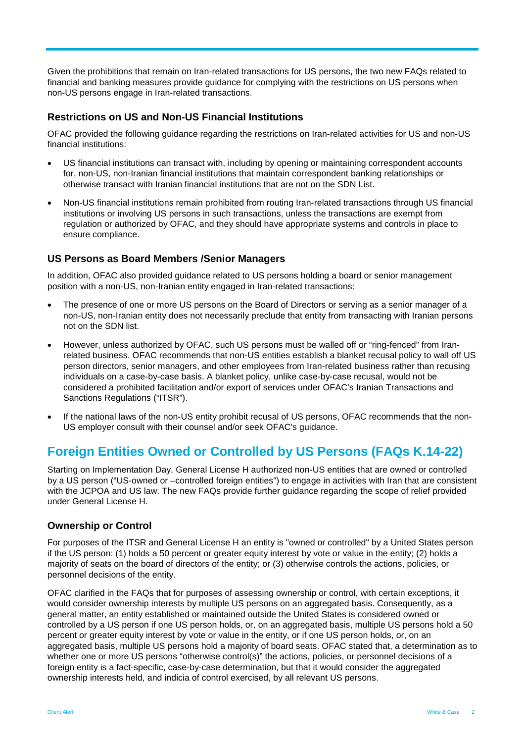Given the prohibitions that remain on Iran-related transactions for US persons, the two new FAQs related to financial and banking measures provide guidance for complying with the restrictions on US persons when non-US persons engage in Iran-related transactions.

## **Restrictions on US and Non-US Financial Institutions**

OFAC provided the following guidance regarding the restrictions on Iran-related activities for US and non-US financial institutions:

- US financial institutions can transact with, including by opening or maintaining correspondent accounts for, non-US, non-Iranian financial institutions that maintain correspondent banking relationships or otherwise transact with Iranian financial institutions that are not on the SDN List.
- Non-US financial institutions remain prohibited from routing Iran-related transactions through US financial institutions or involving US persons in such transactions, unless the transactions are exempt from regulation or authorized by OFAC, and they should have appropriate systems and controls in place to ensure compliance.

## **US Persons as Board Members /Senior Managers**

In addition, OFAC also provided guidance related to US persons holding a board or senior management position with a non-US, non-Iranian entity engaged in Iran-related transactions:

- The presence of one or more US persons on the Board of Directors or serving as a senior manager of a non-US, non-Iranian entity does not necessarily preclude that entity from transacting with Iranian persons not on the SDN list.
- However, unless authorized by OFAC, such US persons must be walled off or "ring-fenced" from Iranrelated business. OFAC recommends that non-US entities establish a blanket recusal policy to wall off US person directors, senior managers, and other employees from Iran-related business rather than recusing individuals on a case-by-case basis. A blanket policy, unlike case-by-case recusal, would not be considered a prohibited facilitation and/or export of services under OFAC's Iranian Transactions and Sanctions Regulations ("ITSR").
- If the national laws of the non-US entity prohibit recusal of US persons, OFAC recommends that the non-US employer consult with their counsel and/or seek OFAC's guidance.

## **Foreign Entities Owned or Controlled by US Persons (FAQs K.14-22)**

Starting on Implementation Day, General License H authorized non-US entities that are owned or controlled by a US person ("US-owned or –controlled foreign entities") to engage in activities with Iran that are consistent with the JCPOA and US law. The new FAQs provide further guidance regarding the scope of relief provided under General License H.

## **Ownership or Control**

For purposes of the ITSR and General License H an entity is "owned or controlled" by a United States person if the US person: (1) holds a 50 percent or greater equity interest by vote or value in the entity; (2) holds a majority of seats on the board of directors of the entity; or (3) otherwise controls the actions, policies, or personnel decisions of the entity.

OFAC clarified in the FAQs that for purposes of assessing ownership or control, with certain exceptions, it would consider ownership interests by multiple US persons on an aggregated basis. Consequently, as a general matter, an entity established or maintained outside the United States is considered owned or controlled by a US person if one US person holds, or, on an aggregated basis, multiple US persons hold a 50 percent or greater equity interest by vote or value in the entity, or if one US person holds, or, on an aggregated basis, multiple US persons hold a majority of board seats. OFAC stated that, a determination as to whether one or more US persons "otherwise control(s)" the actions, policies, or personnel decisions of a foreign entity is a fact-specific, case-by-case determination, but that it would consider the aggregated ownership interests held, and indicia of control exercised, by all relevant US persons.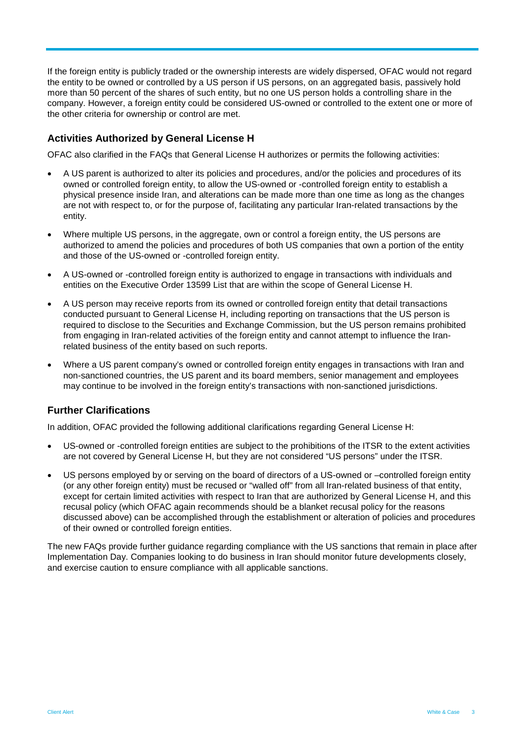If the foreign entity is publicly traded or the ownership interests are widely dispersed, OFAC would not regard the entity to be owned or controlled by a US person if US persons, on an aggregated basis, passively hold more than 50 percent of the shares of such entity, but no one US person holds a controlling share in the company. However, a foreign entity could be considered US-owned or controlled to the extent one or more of the other criteria for ownership or control are met.

## **Activities Authorized by General License H**

OFAC also clarified in the FAQs that General License H authorizes or permits the following activities:

- A US parent is authorized to alter its policies and procedures, and/or the policies and procedures of its owned or controlled foreign entity, to allow the US-owned or -controlled foreign entity to establish a physical presence inside Iran, and alterations can be made more than one time as long as the changes are not with respect to, or for the purpose of, facilitating any particular Iran-related transactions by the entity.
- Where multiple US persons, in the aggregate, own or control a foreign entity, the US persons are authorized to amend the policies and procedures of both US companies that own a portion of the entity and those of the US-owned or -controlled foreign entity.
- A US-owned or -controlled foreign entity is authorized to engage in transactions with individuals and entities on the Executive Order 13599 List that are within the scope of General License H.
- A US person may receive reports from its owned or controlled foreign entity that detail transactions conducted pursuant to General License H, including reporting on transactions that the US person is required to disclose to the Securities and Exchange Commission, but the US person remains prohibited from engaging in Iran-related activities of the foreign entity and cannot attempt to influence the Iranrelated business of the entity based on such reports.
- Where a US parent company's owned or controlled foreign entity engages in transactions with Iran and non-sanctioned countries, the US parent and its board members, senior management and employees may continue to be involved in the foreign entity's transactions with non-sanctioned jurisdictions.

## **Further Clarifications**

In addition, OFAC provided the following additional clarifications regarding General License H:

- US-owned or -controlled foreign entities are subject to the prohibitions of the ITSR to the extent activities are not covered by General License H, but they are not considered "US persons" under the ITSR.
- US persons employed by or serving on the board of directors of a US-owned or –controlled foreign entity (or any other foreign entity) must be recused or "walled off" from all Iran-related business of that entity, except for certain limited activities with respect to Iran that are authorized by General License H, and this recusal policy (which OFAC again recommends should be a blanket recusal policy for the reasons discussed above) can be accomplished through the establishment or alteration of policies and procedures of their owned or controlled foreign entities.

The new FAQs provide further guidance regarding compliance with the US sanctions that remain in place after Implementation Day. Companies looking to do business in Iran should monitor future developments closely, and exercise caution to ensure compliance with all applicable sanctions.